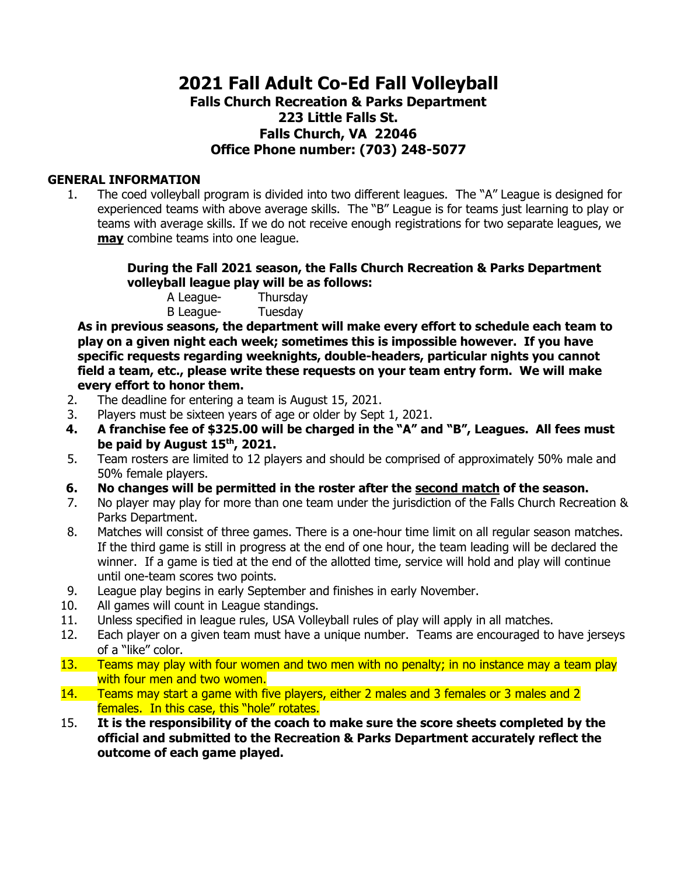# **2021 Fall Adult Co-Ed Fall Volleyball Falls Church Recreation & Parks Department 223 Little Falls St. Falls Church, VA 22046 Office Phone number: (703) 248-5077**

#### **GENERAL INFORMATION**

1. The coed volleyball program is divided into two different leagues. The "A" League is designed for experienced teams with above average skills. The "B" League is for teams just learning to play or teams with average skills. If we do not receive enough registrations for two separate leagues, we **may** combine teams into one league.

#### **During the Fall 2021 season, the Falls Church Recreation & Parks Department volleyball league play will be as follows:**

A League- Thursday B League- Tuesday

**As in previous seasons, the department will make every effort to schedule each team to play on a given night each week; sometimes this is impossible however. If you have specific requests regarding weeknights, double-headers, particular nights you cannot field a team, etc., please write these requests on your team entry form. We will make every effort to honor them.** 

- 2. The deadline for entering a team is August 15, 2021.
- 3. Players must be sixteen years of age or older by Sept 1, 2021.
- **4. A franchise fee of \$325.00 will be charged in the "A" and "B", Leagues. All fees must be paid by August 15th, 2021.**
- 5. Team rosters are limited to 12 players and should be comprised of approximately 50% male and 50% female players.
- **6. No changes will be permitted in the roster after the second match of the season.**
- 7. No player may play for more than one team under the jurisdiction of the Falls Church Recreation & Parks Department.
- 8. Matches will consist of three games. There is a one-hour time limit on all regular season matches. If the third game is still in progress at the end of one hour, the team leading will be declared the winner. If a game is tied at the end of the allotted time, service will hold and play will continue until one-team scores two points.
- 9. League play begins in early September and finishes in early November.
- 10. All games will count in League standings.
- 11. Unless specified in league rules, USA Volleyball rules of play will apply in all matches.
- 12. Each player on a given team must have a unique number. Teams are encouraged to have jerseys of a "like" color.
- 13. Teams may play with four women and two men with no penalty; in no instance may a team play with four men and two women.
- 14. Teams may start a game with five players, either 2 males and 3 females or 3 males and 2 females. In this case, this "hole" rotates.
- 15. **It is the responsibility of the coach to make sure the score sheets completed by the official and submitted to the Recreation & Parks Department accurately reflect the outcome of each game played.**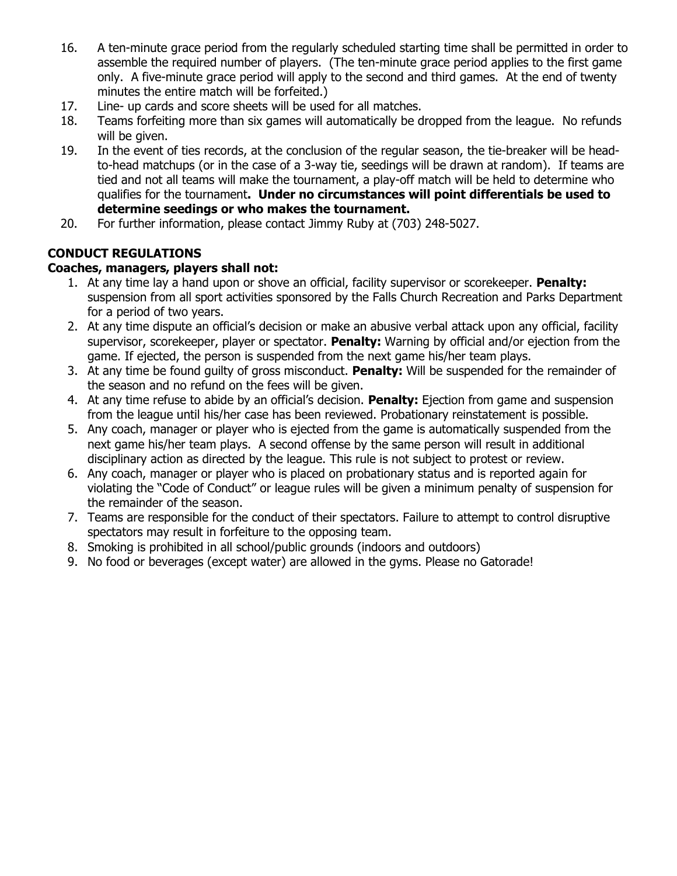- 16. A ten-minute grace period from the regularly scheduled starting time shall be permitted in order to assemble the required number of players. (The ten-minute grace period applies to the first game only. A five-minute grace period will apply to the second and third games. At the end of twenty minutes the entire match will be forfeited.)
- 17. Line- up cards and score sheets will be used for all matches.
- 18. Teams forfeiting more than six games will automatically be dropped from the league. No refunds will be given.
- 19. In the event of ties records, at the conclusion of the regular season, the tie-breaker will be headto-head matchups (or in the case of a 3-way tie, seedings will be drawn at random). If teams are tied and not all teams will make the tournament, a play-off match will be held to determine who qualifies for the tournament**. Under no circumstances will point differentials be used to determine seedings or who makes the tournament.**
- 20. For further information, please contact Jimmy Ruby at (703) 248-5027.

# **CONDUCT REGULATIONS**

### **Coaches, managers, players shall not:**

- 1. At any time lay a hand upon or shove an official, facility supervisor or scorekeeper. **Penalty:**  suspension from all sport activities sponsored by the Falls Church Recreation and Parks Department for a period of two years.
- 2. At any time dispute an official's decision or make an abusive verbal attack upon any official, facility supervisor, scorekeeper, player or spectator. **Penalty:** Warning by official and/or ejection from the game. If ejected, the person is suspended from the next game his/her team plays.
- 3. At any time be found guilty of gross misconduct. **Penalty:** Will be suspended for the remainder of the season and no refund on the fees will be given.
- 4. At any time refuse to abide by an official's decision. **Penalty:** Ejection from game and suspension from the league until his/her case has been reviewed. Probationary reinstatement is possible.
- 5. Any coach, manager or player who is ejected from the game is automatically suspended from the next game his/her team plays. A second offense by the same person will result in additional disciplinary action as directed by the league. This rule is not subject to protest or review.
- 6. Any coach, manager or player who is placed on probationary status and is reported again for violating the "Code of Conduct" or league rules will be given a minimum penalty of suspension for the remainder of the season.
- 7. Teams are responsible for the conduct of their spectators. Failure to attempt to control disruptive spectators may result in forfeiture to the opposing team.
- 8. Smoking is prohibited in all school/public grounds (indoors and outdoors)
- 9. No food or beverages (except water) are allowed in the gyms. Please no Gatorade!